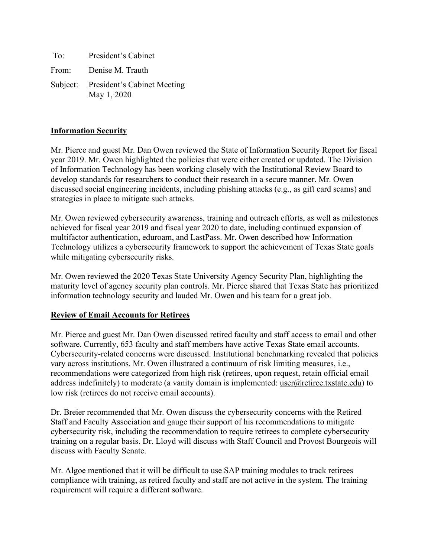To: President's Cabinet From: Denise M. Trauth Subject: President's Cabinet Meeting May 1, 2020

#### **Information Security**

Mr. Pierce and guest Mr. Dan Owen reviewed the State of Information Security Report for fiscal year 2019. Mr. Owen highlighted the policies that were either created or updated. The Division of Information Technology has been working closely with the Institutional Review Board to develop standards for researchers to conduct their research in a secure manner. Mr. Owen discussed social engineering incidents, including phishing attacks (e.g., as gift card scams) and strategies in place to mitigate such attacks.

Mr. Owen reviewed cybersecurity awareness, training and outreach efforts, as well as milestones achieved for fiscal year 2019 and fiscal year 2020 to date, including continued expansion of multifactor authentication, eduroam, and LastPass. Mr. Owen described how Information Technology utilizes a cybersecurity framework to support the achievement of Texas State goals while mitigating cybersecurity risks.

Mr. Owen reviewed the 2020 Texas State University Agency Security Plan, highlighting the maturity level of agency security plan controls. Mr. Pierce shared that Texas State has prioritized information technology security and lauded Mr. Owen and his team for a great job.

### **Review of Email Accounts for Retirees**

Mr. Pierce and guest Mr. Dan Owen discussed retired faculty and staff access to email and other software. Currently, 653 faculty and staff members have active Texas State email accounts. Cybersecurity-related concerns were discussed. Institutional benchmarking revealed that policies vary across institutions. Mr. Owen illustrated a continuum of risk limiting measures, i.e., recommendations were categorized from high risk (retirees, upon request, retain official email address indefinitely) to moderate (a vanity domain is implemented: user $@$ retiree.txstate.edu) to low risk (retirees do not receive email accounts).

Dr. Breier recommended that Mr. Owen discuss the cybersecurity concerns with the Retired Staff and Faculty Association and gauge their support of his recommendations to mitigate cybersecurity risk, including the recommendation to require retirees to complete cybersecurity training on a regular basis. Dr. Lloyd will discuss with Staff Council and Provost Bourgeois will discuss with Faculty Senate.

Mr. Algoe mentioned that it will be difficult to use SAP training modules to track retirees compliance with training, as retired faculty and staff are not active in the system. The training requirement will require a different software.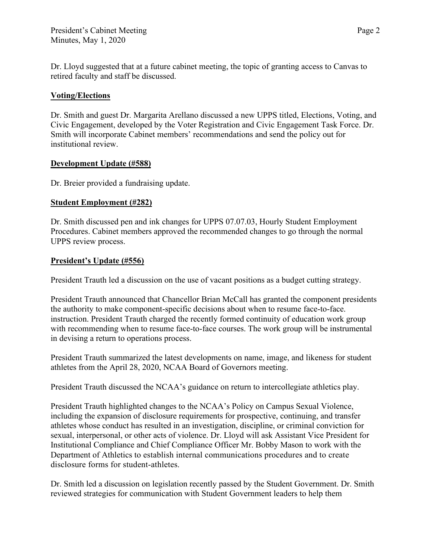Dr. Lloyd suggested that at a future cabinet meeting, the topic of granting access to Canvas to retired faculty and staff be discussed.

# **Voting/Elections**

Dr. Smith and guest Dr. Margarita Arellano discussed a new UPPS titled, Elections, Voting, and Civic Engagement, developed by the Voter Registration and Civic Engagement Task Force. Dr. Smith will incorporate Cabinet members' recommendations and send the policy out for institutional review.

### **Development Update (#588)**

Dr. Breier provided a fundraising update.

# **Student Employment (#282)**

Dr. Smith discussed pen and ink changes for UPPS 07.07.03, Hourly Student Employment Procedures. Cabinet members approved the recommended changes to go through the normal UPPS review process.

# **President's Update (#556)**

President Trauth led a discussion on the use of vacant positions as a budget cutting strategy.

President Trauth announced that Chancellor Brian McCall has granted the component presidents the authority to make component-specific decisions about when to resume face-to-face. instruction. President Trauth charged the recently formed continuity of education work group with recommending when to resume face-to-face courses. The work group will be instrumental in devising a return to operations process.

President Trauth summarized the latest developments on name, image, and likeness for student athletes from the April 28, 2020, NCAA Board of Governors meeting.

President Trauth discussed the NCAA's guidance on return to intercollegiate athletics play.

President Trauth highlighted changes to the NCAA's Policy on Campus Sexual Violence, including the expansion of disclosure requirements for prospective, continuing, and transfer athletes whose conduct has resulted in an investigation, discipline, or criminal conviction for sexual, interpersonal, or other acts of violence. Dr. Lloyd will ask Assistant Vice President for Institutional Compliance and Chief Compliance Officer Mr. Bobby Mason to work with the Department of Athletics to establish internal communications procedures and to create disclosure forms for student-athletes.

Dr. Smith led a discussion on legislation recently passed by the Student Government. Dr. Smith reviewed strategies for communication with Student Government leaders to help them